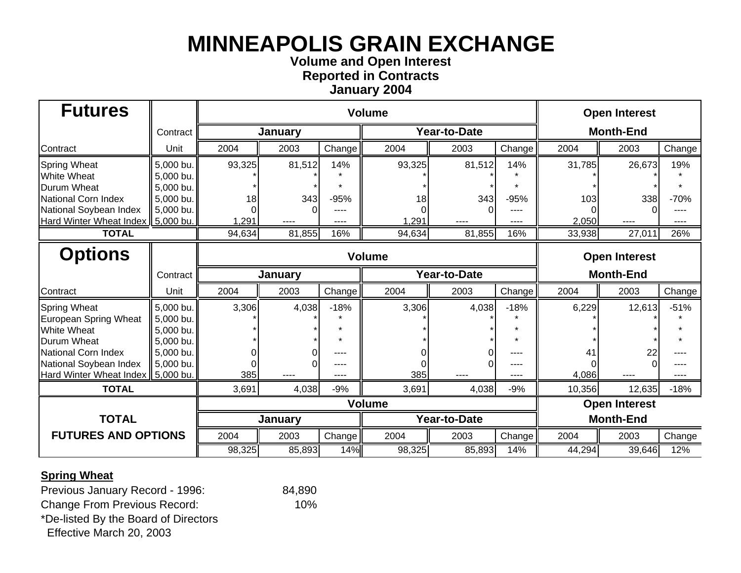### **Volume and Open Interest Re ported in Contract s Januar y 200 4**

| <b>Futures</b>                      |           | <b>Volume</b>          |         |        |              |              |        | <b>Open Interest</b> |                      |        |  |
|-------------------------------------|-----------|------------------------|---------|--------|--------------|--------------|--------|----------------------|----------------------|--------|--|
|                                     | Contract  |                        | January |        |              | Year-to-Date |        | <b>Month-End</b>     |                      |        |  |
| Contract                            | Unit      | 2004                   | 2003    | Change | 2004         | 2003         | Change | 2004                 | 2003                 | Change |  |
| <b>Spring Wheat</b>                 | 5,000 bu. | 93,325                 | 81,512  | 14%    | 93,325       | 81,512       | 14%    | 31,785               | 26,673               | 19%    |  |
| <b>White Wheat</b>                  | 5,000 bu. |                        |         |        |              |              |        |                      |                      |        |  |
| <b>Durum Wheat</b>                  | 5,000 bu. |                        |         |        |              |              |        |                      |                      |        |  |
| National Corn Index                 | 5,000 bu. | 18                     | 343     | $-95%$ | 18           | 343          | $-95%$ | 103                  | 338                  | $-70%$ |  |
| National Soybean Index              | 5,000 bu. |                        |         |        |              |              |        |                      |                      |        |  |
| Hard Winter Wheat Index   5,000 bu. |           | ,291                   | ----    | ----   | 1,291        | ----         | ----   | 2,050                | ----                 | ----   |  |
| <b>TOTAL</b>                        |           | 94,634                 | 81,855  | 16%    | 94,634       | 81,855       | 16%    | 33,938               | 27,011               | 26%    |  |
| <b>Options</b>                      |           | <b>Volume</b>          |         |        |              |              |        |                      | <b>Open Interest</b> |        |  |
|                                     | Contract  |                        | January |        |              | Year-to-Date |        |                      | <b>Month-End</b>     |        |  |
| Contract                            | Unit      | 2004                   | 2003    | Change | 2004         | 2003         | Change | 2004                 | 2003                 | Change |  |
| <b>Spring Wheat</b>                 | 5,000 bu. | 3,306                  | 4,038   | $-18%$ | 3,306        | 4,038        | $-18%$ | 6,229                | 12,613               | $-51%$ |  |
| European Spring Wheat               | 5,000 bu. |                        |         |        |              |              |        |                      |                      |        |  |
| <b>White Wheat</b>                  | 5,000 bu. |                        |         |        |              |              |        |                      |                      |        |  |
| Durum Wheat                         | 5,000 bu. |                        |         |        |              |              |        |                      |                      |        |  |
| National Corn Index                 | 5,000 bu. |                        |         |        |              |              | ----   | 41                   | 22                   |        |  |
| National Soybean Index              | 5,000 bu. |                        |         | ----   |              |              | ----   |                      |                      |        |  |
| Hard Winter Wheat Index   5,000 bu. |           | 385                    |         |        | 385          |              |        | 4,086                |                      |        |  |
| <b>TOTAL</b>                        |           | 3,691                  | 4,038   | $-9%$  | 3,691        | 4,038        | $-9%$  | 10,356               | 12,635               | $-18%$ |  |
|                                     |           | <b>Volume</b>          |         |        |              |              |        |                      | <b>Open Interest</b> |        |  |
| <b>TOTAL</b>                        |           |                        | January |        | Year-to-Date |              |        | <b>Month-End</b>     |                      |        |  |
| <b>FUTURES AND OPTIONS</b>          |           | 2004<br>Change<br>2003 |         |        | 2004         | 2003         | Change | 2004                 | 2003                 | Change |  |
|                                     |           | 98,325                 | 85,893  | 14%    | 98,325       | 85,893       | 14%    | 44,294               | 39,646               | 12%    |  |

### **Spring Wheat**

Previous January Record - 1996: 84,890 Change From Previous Record: 10%

\*De-listed By the Board of Directors

Effective March 20, 2003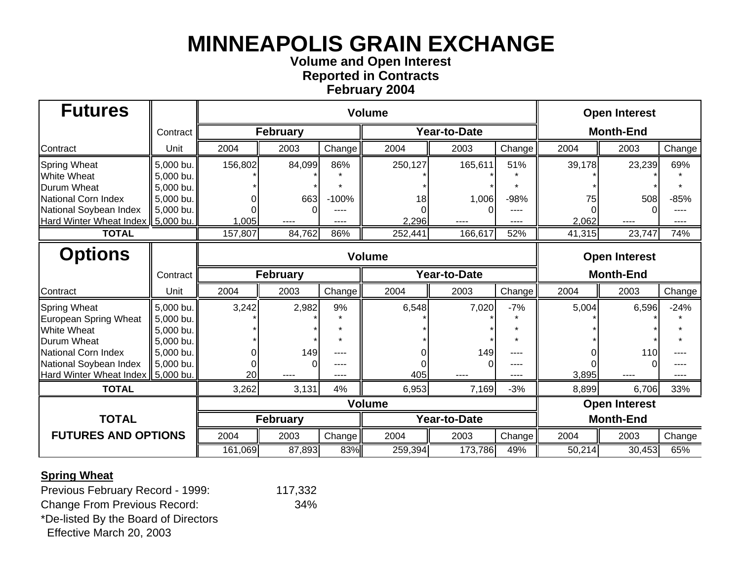### **Volume and Open Interest Re ported in Contract s Februar y 200 4**

| <b>Futures</b>                                                |                        |                        |                 |              | <b>Open Interest</b> |                     |        |                  |                      |        |  |
|---------------------------------------------------------------|------------------------|------------------------|-----------------|--------------|----------------------|---------------------|--------|------------------|----------------------|--------|--|
|                                                               | Contract               |                        | <b>February</b> |              |                      | <b>Year-to-Date</b> |        | <b>Month-End</b> |                      |        |  |
| Contract                                                      | Unit                   | 2004                   | 2003            | Change       | 2004                 | 2003                | Change | 2004             | 2003                 | Change |  |
| <b>Spring Wheat</b>                                           | 5,000 bu.              | 156,802                | 84,099          | 86%          | 250,127              | 165,611             | 51%    | 39,178           | 23,239               | 69%    |  |
| <b>White Wheat</b>                                            | 5,000 bu.              |                        |                 |              |                      |                     |        |                  |                      |        |  |
| <b>Durum Wheat</b><br>National Corn Index                     | 5,000 bu.<br>5,000 bu. |                        | 663             | $-100%$      |                      |                     | $-98%$ |                  | 508                  |        |  |
| National Soybean Index                                        | 5,000 bu.              |                        |                 |              | 18                   | 1,006               |        | 75               |                      | $-85%$ |  |
| Hard Winter Wheat Index   5,000 bu.                           |                        | 1,005                  |                 |              | 2,296                |                     |        | 2,062            | ----                 | ----   |  |
| <b>TOTAL</b>                                                  |                        | 157,807                | 84,762          | 86%          | 252,441              | 166,617             | 52%    | 41,315           | 23,747               | 74%    |  |
| <b>Options</b>                                                |                        | <b>Volume</b>          |                 |              |                      |                     |        |                  | <b>Open Interest</b> |        |  |
|                                                               | Contract               | <b>February</b>        |                 |              |                      | Year-to-Date        |        |                  | <b>Month-End</b>     |        |  |
| Contract                                                      | Unit                   | 2004                   | 2003            | Change       | 2004                 | 2003                | Change | 2004             | 2003                 | Change |  |
| <b>Spring Wheat</b>                                           | 5,000 bu.              | 3,242                  | 2,982           | 9%           | 6,548                | 7,020               | $-7%$  | 5,004            | 6,596                | $-24%$ |  |
| European Spring Wheat                                         | 5,000 bu.              |                        |                 |              |                      |                     |        |                  |                      |        |  |
| <b>White Wheat</b>                                            | 5,000 bu.              |                        |                 |              |                      |                     |        |                  |                      |        |  |
| <b>Durum Wheat</b>                                            | 5,000 bu.              |                        |                 |              |                      |                     |        |                  |                      |        |  |
| National Corn Index                                           | 5,000 bu.              |                        | 149             |              |                      | 149                 |        |                  | 110                  |        |  |
| National Soybean Index<br>Hard Winter Wheat Index   5,000 bu. | 5,000 bu.              | 20                     | O               | ----<br>---- | 405                  |                     | ----   | 3,895            |                      |        |  |
| <b>TOTAL</b>                                                  |                        | 3,262                  | 3,131           | 4%           | 6,953                | 7,169               | $-3%$  | 8,899            | 6,706                | 33%    |  |
|                                                               |                        | <b>Volume</b>          |                 |              |                      |                     |        |                  | <b>Open Interest</b> |        |  |
| <b>TOTAL</b>                                                  | <b>February</b>        |                        |                 |              | Year-to-Date         |                     |        | <b>Month-End</b> |                      |        |  |
| <b>FUTURES AND OPTIONS</b>                                    |                        | 2004<br>Change<br>2003 |                 |              | 2004                 | 2003                | Change | 2004             | 2003                 | Change |  |
|                                                               |                        | 161,069                | 87,893          | 83%          | 259,394              | 173,786             | 49%    | 50,214           | 30,453               | 65%    |  |

### **Spring Wheat**

Previous February Record - 1999: 117,332

Change From Previous Record: 34% \*De-listed By the Board of Directors

Effective March 20, 2003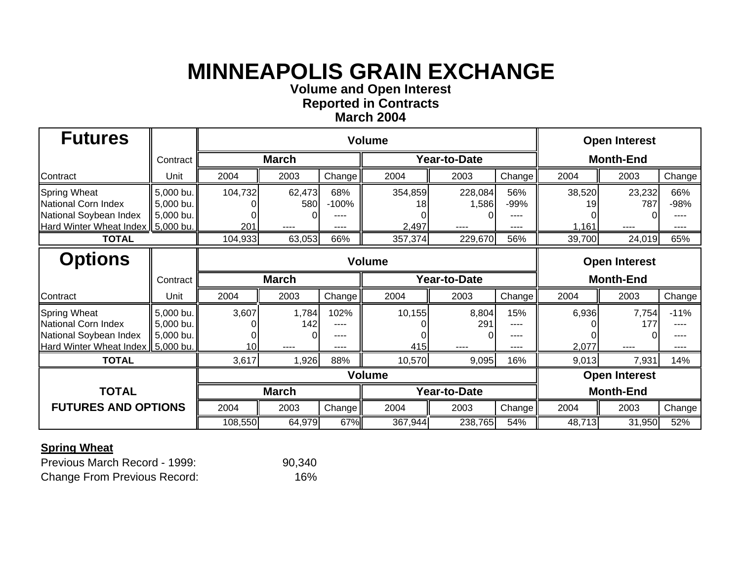**Volume and O pen Interest**

**Re ported in Contract s March 2004**

| <b>Futures</b>                                                                                              |                                     |                |                       |                                | <b>Open Interest</b>   |                          |                             |                       |                       |                                |
|-------------------------------------------------------------------------------------------------------------|-------------------------------------|----------------|-----------------------|--------------------------------|------------------------|--------------------------|-----------------------------|-----------------------|-----------------------|--------------------------------|
|                                                                                                             | Contract                            |                | <b>March</b>          |                                |                        | Year-to-Date             | <b>Month-End</b>            |                       |                       |                                |
| Contract                                                                                                    | Unit                                | 2004           | 2003                  | Change                         | 2004                   | 2003                     | Change                      | 2004                  | 2003                  | Change                         |
| <b>Spring Wheat</b><br>National Corn Index<br>National Soybean Index<br>Hard Winter Wheat Index   5,000 bu. | 5,000 bu.<br>5,000 bu.<br>5,000 bu. | 104,732<br>201 | 62,473<br>580<br>---- | 68%<br>$-100%$<br>----<br>---- | 354,859<br>18<br>2,497 | 228,084<br>1,586<br>---- | 56%<br>-99%<br>----<br>---- | 38,520<br>19<br>1,161 | 23,232<br>787<br>---- | 66%<br>$-98%$<br>----<br>----  |
| <b>TOTAL</b>                                                                                                |                                     | 104,933        | 63,053                | 66%                            | 357,374                | 229,670                  | 56%                         | 39,700                | 24,019                | 65%                            |
| <b>Options</b>                                                                                              |                                     | <b>Volume</b>  |                       |                                |                        |                          |                             |                       | <b>Open Interest</b>  |                                |
|                                                                                                             | Contract                            | <b>March</b>   |                       |                                |                        | Year-to-Date             | <b>Month-End</b>            |                       |                       |                                |
| Contract                                                                                                    | Unit                                | 2004           | 2003                  | Change                         | 2004                   | 2003                     | Change                      | 2004                  | 2003                  | Change                         |
| <b>Spring Wheat</b><br>National Corn Index<br>National Soybean Index<br>Hard Winter Wheat Index   5,000 bu. | 5,000 bu.<br>5,000 bu.<br>5,000 bu. | 3,607<br>10I   | 1,784<br>142<br>----  | 102%<br>----<br>----<br>----   | 10,155<br>415          | 8,804<br>291<br>----     | 15%<br>----<br>----<br>---- | 6,936<br>2,077        | 7,754<br>177<br>$---$ | $-11%$<br>----<br>----<br>---- |
| <b>TOTAL</b>                                                                                                |                                     | 3,617          | 1,926                 | 88%                            | 10,570                 | 9,095                    | 16%                         | 9,013                 | 7,931                 | 14%                            |
|                                                                                                             |                                     | <b>Volume</b>  |                       |                                |                        |                          |                             | <b>Open Interest</b>  |                       |                                |
| <b>TOTAL</b>                                                                                                |                                     | <b>March</b>   |                       |                                | Year-to-Date           |                          |                             | <b>Month-End</b>      |                       |                                |
| <b>FUTURES AND OPTIONS</b>                                                                                  |                                     | 2004           | 2003                  | Change                         | 2004                   | 2003                     | Change                      | 2004                  | 2003                  | Change                         |
|                                                                                                             |                                     | 108,550        | 64,979                | 67%                            | 367,944                | 238,765                  | 54%                         | 48,713                | 31,950                | 52%                            |

### **Spring Wheat**

| Previous March Record - 1999:       | 90,340 |
|-------------------------------------|--------|
| <b>Change From Previous Record:</b> | 16%    |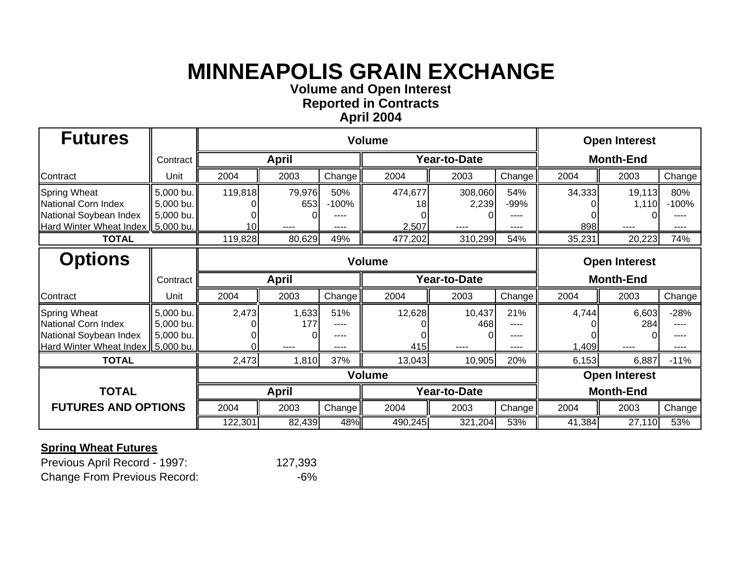**Volume and O pen Interest**

**Re ported in Contract s April 200 4**

| <b>Futures</b>                                                                                              |                                     |                |                       |                                | <b>Open Interest</b>   |                          |                             |                      |                         |                                |  |
|-------------------------------------------------------------------------------------------------------------|-------------------------------------|----------------|-----------------------|--------------------------------|------------------------|--------------------------|-----------------------------|----------------------|-------------------------|--------------------------------|--|
|                                                                                                             | Contract                            | <b>April</b>   |                       |                                |                        | Year-to-Date             | <b>Month-End</b>            |                      |                         |                                |  |
| Contract                                                                                                    | Unit                                | 2004           | 2003                  | Change                         | 2004                   | 2003                     | Change                      | 2004                 | 2003                    | Change                         |  |
| <b>Spring Wheat</b><br>National Corn Index<br>National Soybean Index<br>Hard Winter Wheat Index   5,000 bu. | 5,000 bu.<br>5,000 bu.<br>5,000 bu. | 119,818<br>10I | 79,976<br>653<br>---- | 50%<br>$-100%$<br>----<br>---- | 474,677<br>18<br>2,507 | 308,060<br>2,239<br>---- | 54%<br>-99%<br>----<br>---- | 34,333<br>898        | 19,113<br>1,110<br>---- | 80%<br>$-100%$<br>.<br>----    |  |
| <b>TOTAL</b>                                                                                                |                                     | 119,828        | 80,629                | 49%                            | 477,202                | 310,299                  | 54%                         | 35,231               | 20,223                  | 74%                            |  |
| <b>Options</b>                                                                                              |                                     | <b>Volume</b>  |                       |                                |                        |                          |                             | <b>Open Interest</b> |                         |                                |  |
|                                                                                                             | Contract                            | <b>April</b>   |                       |                                |                        | Year-to-Date             | <b>Month-End</b>            |                      |                         |                                |  |
| Contract                                                                                                    | Unit                                | 2004           | 2003                  | Change                         | 2004                   | 2003                     | Change                      | 2004                 | 2003                    | Change                         |  |
| <b>Spring Wheat</b><br>National Corn Index<br>National Soybean Index<br>Hard Winter Wheat Index   5,000 bu. | 5,000 bu.<br>5,000 bu.<br>5,000 bu. | 2,473          | 1,633<br>177          | 51%<br>----<br>----<br>----    | 12,628<br>415          | 10,437<br>468<br>----    | 21%<br>----<br>----<br>---- | 4,744<br>1,409       | 6,603<br>284<br>----    | $-28%$<br>----<br>----<br>---- |  |
| <b>TOTAL</b>                                                                                                |                                     | 2,473          | 1,810                 | 37%                            | 13,043                 | 10,905                   | 20%                         | 6,153                | 6,887                   | $-11%$                         |  |
|                                                                                                             |                                     | <b>Volume</b>  |                       |                                |                        |                          |                             | <b>Open Interest</b> |                         |                                |  |
| <b>TOTAL</b>                                                                                                |                                     |                | <b>April</b>          |                                |                        | Year-to-Date             |                             |                      | <b>Month-End</b>        |                                |  |
| <b>FUTURES AND OPTIONS</b>                                                                                  |                                     | 2004           | 2003                  | Change                         | 2004                   | 2003                     | Change <sup>1</sup>         | 2004                 | 2003                    | Change                         |  |
|                                                                                                             |                                     | 122,301        | 82,439                | 48%                            | 490,245                | 321,204                  | 53%                         | 41,384               | 27,110                  | 53%                            |  |

| Previous April Record - 1997:       | 127,393 |
|-------------------------------------|---------|
| <b>Change From Previous Record:</b> | -6%     |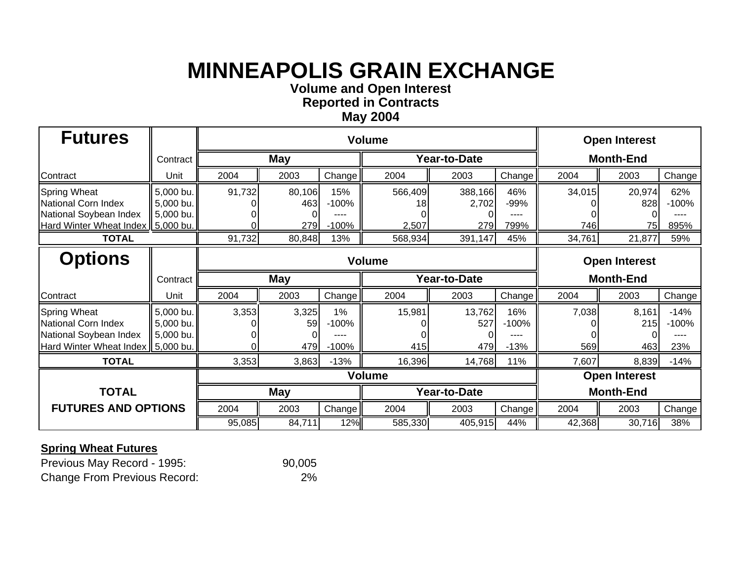**Volume and O pen Interest**

**Re ported in Contract s**

### **Ma y 200 4**

| <b>Futures</b>                                                                                         |                                                  |               |                            |                          | <b>Open Interest</b> |                      |                          |                      |                     |                                  |
|--------------------------------------------------------------------------------------------------------|--------------------------------------------------|---------------|----------------------------|--------------------------|----------------------|----------------------|--------------------------|----------------------|---------------------|----------------------------------|
|                                                                                                        | Contract                                         | <b>May</b>    |                            |                          |                      | Year-to-Date         | <b>Month-End</b>         |                      |                     |                                  |
| Contract                                                                                               | Unit                                             | 2004          | 2003                       | Change                   | 2004                 | 2003                 | Change                   | 2004                 | 2003                | Change                           |
| <b>Spring Wheat</b><br>National Corn Index<br>National Soybean Index                                   | 5,000 bu.<br>5,000 bu.<br>5,000 bu.              | 91,732        | 80,106<br>463              | 15%<br>$-100%$           | 566,409<br>18        | 388,166<br>2,702     | 46%<br>-99%              | 34,015               | 20,974<br>828       | 62%<br>$-100%$                   |
| <b>Hard Winter Wheat Index</b><br><b>TOTAL</b>                                                         | 5,000 bu.                                        | 91,732        | 279 <sub>l</sub><br>80,848 | $-100%$<br>13%           | 2,507<br>568,934     | 279<br>391,147       | 799%<br>45%              | 746<br>34,761        | 75<br>21,877        | 895%<br>59%                      |
| <b>Options</b>                                                                                         |                                                  | <b>Volume</b> |                            |                          |                      |                      |                          | <b>Open Interest</b> |                     |                                  |
|                                                                                                        | Contract                                         | <b>May</b>    |                            |                          |                      | Year-to-Date         | <b>Month-End</b>         |                      |                     |                                  |
| Contract                                                                                               | Unit                                             | 2004          | 2003                       | Change <sup>1</sup>      | 2004                 | 2003                 | Change                   | 2004                 | 2003                | Change                           |
| <b>Spring Wheat</b><br><b>National Corn Index</b><br>National Soybean Index<br>Hard Winter Wheat Index | 5,000 bu.<br>5,000 bu.<br>5,000 bu.<br>5,000 bu. | 3,353         | 3,325<br>59<br>479         | 1%<br>$-100%$<br>$-100%$ | 15,981<br>415        | 13,762<br>527<br>479 | 16%<br>$-100%$<br>$-13%$ | 7,038<br>569         | 8,161<br>215<br>463 | $-14%$<br>$-100%$<br>----<br>23% |
| <b>TOTAL</b>                                                                                           |                                                  | 3,353         | 3,863                      | $-13%$                   | 16,396               | 14,768               | 11%                      | 7,607                | 8,839               | $-14%$                           |
|                                                                                                        |                                                  | <b>Volume</b> |                            |                          |                      |                      |                          | <b>Open Interest</b> |                     |                                  |
| <b>TOTAL</b>                                                                                           |                                                  | <b>May</b>    |                            |                          | Year-to-Date         |                      |                          | <b>Month-End</b>     |                     |                                  |
| <b>FUTURES AND OPTIONS</b>                                                                             |                                                  | 2004<br>2003  |                            | Change                   | 2004                 | 2003                 | Change                   | 2004                 | 2003                | Change                           |
|                                                                                                        |                                                  | 95,085        | 84,711                     | 12%                      | 585,330              | 405,915              | 44%                      | 42,368               | 30,716              | 38%                              |

| Previous May Record - 1995:         | 90,005 |
|-------------------------------------|--------|
| <b>Change From Previous Record:</b> | 2%     |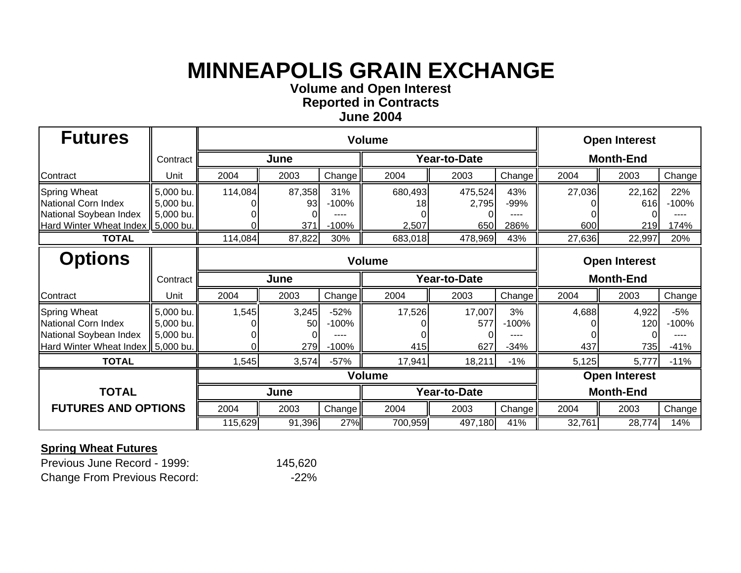**Volume and O pen Interest**

**Re ported in Contract s June 200 4**

| <b>Futures</b>                                                                                         |                                                  |               |                     |                                   |                        | <b>Open Interest</b>    |                             |                  |                      |                                |
|--------------------------------------------------------------------------------------------------------|--------------------------------------------------|---------------|---------------------|-----------------------------------|------------------------|-------------------------|-----------------------------|------------------|----------------------|--------------------------------|
|                                                                                                        | Contract                                         | June          |                     |                                   |                        | Year-to-Date            | <b>Month-End</b>            |                  |                      |                                |
| Contract                                                                                               | Unit                                             | 2004          | 2003                | Change                            | 2004                   | 2003                    | Change                      | 2004             | 2003                 | Change                         |
| <b>Spring Wheat</b><br>National Corn Index<br>National Soybean Index<br><b>Hard Winter Wheat Index</b> | 5,000 bu.<br>5,000 bu.<br>5,000 bu.<br>5,000 bu. | 114,084       | 87,358<br>93<br>371 | 31%<br>$-100%$<br>----<br>$-100%$ | 680,493<br>18<br>2,507 | 475,524<br>2,795<br>650 | 43%<br>-99%<br>----<br>286% | 27,036<br>600    | 22,162<br>616<br>219 | 22%<br>$-100%$<br>----<br>174% |
| <b>TOTAL</b>                                                                                           |                                                  | 114,084       | 87,822              | 30%                               | 683,018                | 478,969                 | 43%                         | 27,636           | 22,997               | 20%                            |
| <b>Options</b>                                                                                         |                                                  | <b>Volume</b> |                     |                                   |                        |                         |                             |                  | <b>Open Interest</b> |                                |
|                                                                                                        | Contract                                         | June          |                     |                                   |                        | Year-to-Date            | <b>Month-End</b>            |                  |                      |                                |
| Contract                                                                                               | Unit                                             | 2004          | 2003                | Change                            | 2004                   | 2003                    | Change                      | 2004             | 2003                 | Change                         |
| <b>Spring Wheat</b><br>National Corn Index<br>National Soybean Index<br><b>Hard Winter Wheat Index</b> | 5,000 bu.<br>5,000 bu.<br>5,000 bu.<br>5,000 bu. | 1,545         | 3,245<br>50<br>279  | $-52%$<br>$-100%$<br>$-100%$      | 17,526<br>415          | 17,007<br>577<br>627    | 3%<br>$-100%$<br>$-34%$     | 4,688<br>437     | 4,922<br>120<br>735  | $-5%$<br>$-100%$<br>$-41%$     |
| <b>TOTAL</b>                                                                                           |                                                  | 1,545         | 3,574               | $-57%$                            | 17,941                 | 18,211                  | $-1%$                       | 5,125            | 5,777                | $-11%$                         |
|                                                                                                        |                                                  | <b>Volume</b> |                     |                                   |                        |                         |                             |                  | <b>Open Interest</b> |                                |
| <b>TOTAL</b>                                                                                           |                                                  |               | June                |                                   | Year-to-Date           |                         |                             | <b>Month-End</b> |                      |                                |
| <b>FUTURES AND OPTIONS</b>                                                                             |                                                  | 2004          | 2003                | Change                            | 2004                   | 2003                    | Change                      | 2004             | 2003                 | Change                         |
|                                                                                                        |                                                  | 115,629       | 91,396              | 27%                               | 700,959                | 497,180                 | 41%                         | 32,761           | 28,774               | 14%                            |

| Previous June Record - 1999:        | 145,620 |
|-------------------------------------|---------|
| <b>Change From Previous Record:</b> | $-22%$  |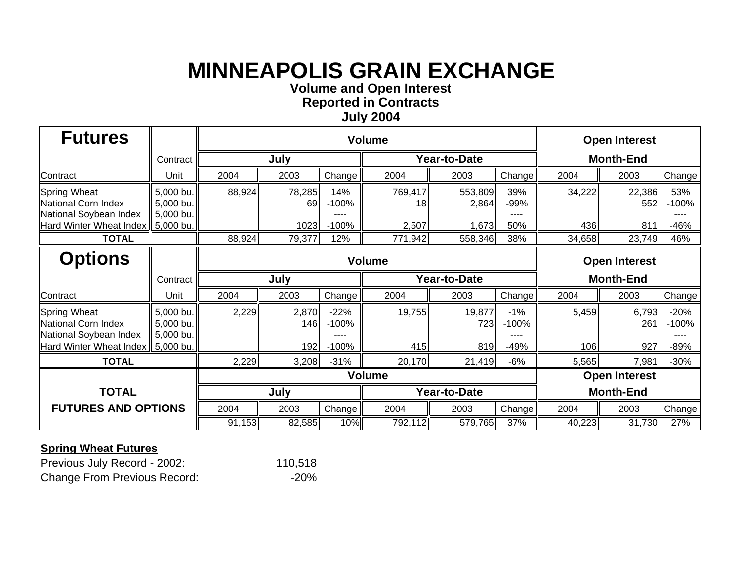**Volume and O pen Interest**

**Re ported in Contract s**

#### **Jul y 200 4**

| <b>Futures</b>                                                              |                                     |               |              |                   |               | <b>Open Interest</b> |                     |                      |               |                           |
|-----------------------------------------------------------------------------|-------------------------------------|---------------|--------------|-------------------|---------------|----------------------|---------------------|----------------------|---------------|---------------------------|
|                                                                             | Contract                            |               | July         |                   |               | <b>Year-to-Date</b>  | <b>Month-End</b>    |                      |               |                           |
| Contract                                                                    | Unit                                | 2004          | 2003         | Change            | 2004          | 2003                 | Change              | 2004                 | 2003          | Change                    |
| <b>Spring Wheat</b><br>National Corn Index<br>National Soybean Index        | 5,000 bu.<br>5,000 bu.<br>5,000 bu. | 88,924        | 78,285<br>69 | 14%<br>$-100%$    | 769,417<br>18 | 553,809<br>2,864     | 39%<br>-99%<br>---- | 34,222               | 22,386<br>552 | 53%<br>$-100%$<br>----    |
| <b>Hard Winter Wheat Index</b>                                              | 5,000 bu.                           |               | 1023         | $-100%$           | 2,507         | 1,673                | 50%                 | 436                  | 811           | $-46%$                    |
| <b>TOTAL</b>                                                                |                                     | 88,924        | 79,377       | 12%               | 771,942       | 558,346              | 38%                 | 34,658               | 23,749        | 46%                       |
| <b>Options</b>                                                              |                                     | <b>Volume</b> |              |                   |               |                      |                     | <b>Open Interest</b> |               |                           |
|                                                                             | Contract                            | July          |              |                   |               | Year-to-Date         | <b>Month-End</b>    |                      |               |                           |
| Contract                                                                    | Unit                                | 2004          | 2003         | Change            | 2004          | 2003                 | Change              | 2004                 | 2003          | Change                    |
| <b>Spring Wheat</b><br><b>National Corn Index</b><br>National Soybean Index | 5,000 bu.<br>5,000 bu.<br>5,000 bu. | 2,229         | 2,870<br>146 | $-22%$<br>$-100%$ | 19,755        | 19,877<br>723        | $-1%$<br>$-100%$    | 5,459                | 6,793<br>261  | $-20%$<br>$-100%$<br>---- |
| <b>Hard Winter Wheat Index</b>                                              | 5,000 bu.                           |               | 192          | $-100%$           | 415           | 819                  | $-49%$              | 106                  | 927           | $-89%$                    |
| <b>TOTAL</b>                                                                |                                     | 2,229         | 3,208        | $-31%$            | 20,170        | 21,419               | $-6%$               | 5,565                | 7,981         | $-30%$                    |
|                                                                             |                                     | <b>Volume</b> |              |                   |               |                      |                     | <b>Open Interest</b> |               |                           |
| <b>TOTAL</b>                                                                |                                     |               | July         |                   | Year-to-Date  |                      |                     | <b>Month-End</b>     |               |                           |
| <b>FUTURES AND OPTIONS</b>                                                  |                                     | 2004          | 2003         | Change            | 2004          | 2003                 | Change              | 2004                 | 2003          | Change                    |
|                                                                             |                                     | 91,153        | 82,585       | 10%               | 792,112       | 579,765              | 37%                 | 40,223               | 31,730        | 27%                       |

| Previous July Record - 2002:        | 110,518 |
|-------------------------------------|---------|
| <b>Change From Previous Record:</b> | $-20%$  |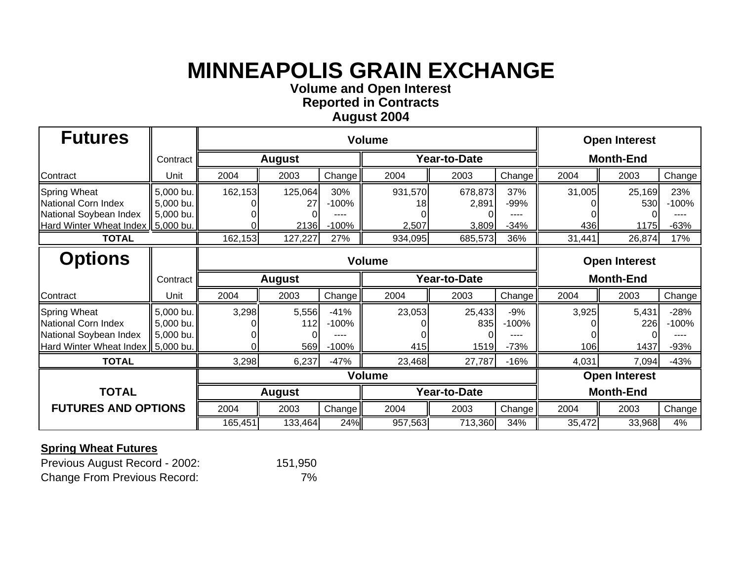**Volume and O pen Interest**

**Re ported in Contract s**

#### **A u gust 200 4**

| <b>Futures</b>                                                                                              |                                     |               |                       |                              | <b>Open Interest</b>   |                           |                            |                      |                       |                             |  |
|-------------------------------------------------------------------------------------------------------------|-------------------------------------|---------------|-----------------------|------------------------------|------------------------|---------------------------|----------------------------|----------------------|-----------------------|-----------------------------|--|
|                                                                                                             | Contract                            | <b>August</b> |                       |                              |                        | Year-to-Date              | <b>Month-End</b>           |                      |                       |                             |  |
| Contract                                                                                                    | Unit                                | 2004          | 2003                  | Change                       | 2004                   | 2003                      | Change <sup>1</sup>        | 2004                 | 2003                  | Change                      |  |
| <b>Spring Wheat</b><br>National Corn Index<br>National Soybean Index<br>Hard Winter Wheat Index   5,000 bu. | 5,000 bu.<br>5,000 bu.<br>5,000 bu. | 162,153       | 125,064<br>27<br>2136 | 30%<br>$-100%$<br>$-100%$    | 931,570<br>18<br>2,507 | 678,873<br>2,891<br>3,809 | 37%<br>-99%<br>$-34%$      | 31,005<br>436        | 25,169<br>530<br>1175 | 23%<br>$-100%$<br>$-63%$    |  |
| <b>TOTAL</b>                                                                                                |                                     | 162,153       | 127,227               | 27%                          | 934,095                | 685,573                   | 36%                        | 31,441               | 26,874                | 17%                         |  |
| <b>Options</b>                                                                                              |                                     |               | <b>Volume</b>         |                              |                        |                           |                            |                      | <b>Open Interest</b>  |                             |  |
|                                                                                                             | Contract                            |               | <b>August</b>         |                              |                        | Year-to-Date              |                            |                      | <b>Month-End</b>      |                             |  |
| Contract                                                                                                    | Unit                                | 2004          | 2003                  | Change                       | 2004                   | 2003                      | Change                     | 2004                 | 2003                  | Change                      |  |
| <b>Spring Wheat</b><br>National Corn Index<br>National Soybean Index<br>Hard Winter Wheat Index   5,000 bu. | 5,000 bu.<br>5,000 bu.<br>5,000 bu. | 3,298         | 5,556<br>112<br>569   | $-41%$<br>$-100%$<br>$-100%$ | 23,053<br>415          | 25,433<br>835<br>1519     | $-9%$<br>$-100%$<br>$-73%$ | 3,925<br>106         | 5,431<br>226<br>1437  | $-28%$<br>$-100%$<br>$-93%$ |  |
| <b>TOTAL</b>                                                                                                |                                     | 3,298         | 6,237                 | $-47%$                       | 23,468                 | 27,787                    | $-16%$                     | 4,031                | 7,094                 | $-43%$                      |  |
|                                                                                                             |                                     | <b>Volume</b> |                       |                              |                        |                           |                            | <b>Open Interest</b> |                       |                             |  |
| <b>TOTAL</b>                                                                                                |                                     | <b>August</b> |                       |                              | Year-to-Date           |                           |                            | <b>Month-End</b>     |                       |                             |  |
| <b>FUTURES AND OPTIONS</b>                                                                                  |                                     | 2004          | 2003                  | Change                       | 2004                   | 2003                      | Change                     | 2004                 | 2003                  | Change                      |  |
|                                                                                                             |                                     | 165,451       | 133,464               | 24%                          | 957,563                | 713,360                   | 34%                        | 35,472               | 33,968                | 4%                          |  |

### **Spring Wheat Futures**

Previous August Record - 2002: 151,950 Change From Previous Record: 7%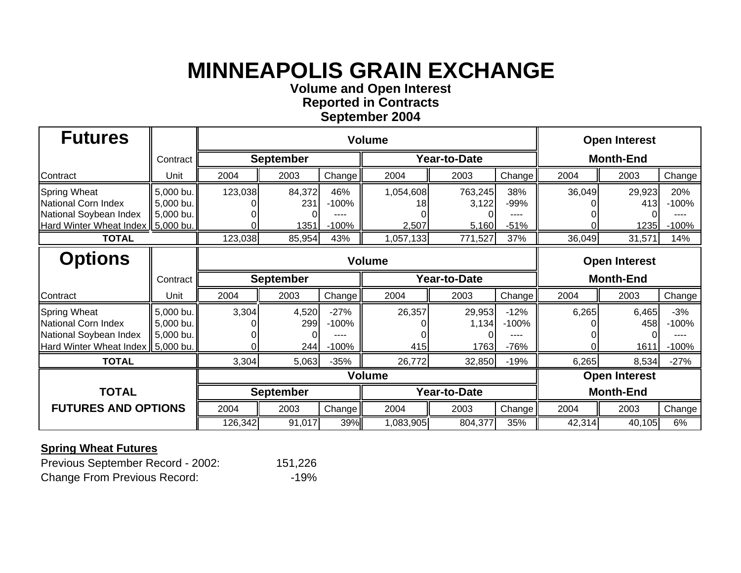**Volume and O pen Interest**

**Re ported in Contract s**

#### **Se ptember 200 4**

| <b>Futures</b>                                                                                              |                                     |                  | <b>Open Interest</b>  |                              |                          |                           |                               |                      |                       |                             |  |
|-------------------------------------------------------------------------------------------------------------|-------------------------------------|------------------|-----------------------|------------------------------|--------------------------|---------------------------|-------------------------------|----------------------|-----------------------|-----------------------------|--|
|                                                                                                             | Contract                            | <b>September</b> |                       |                              |                          | Year-to-Date              | <b>Month-End</b>              |                      |                       |                             |  |
| Contract                                                                                                    | Unit                                | 2004             | 2003                  | Change                       | 2004                     | 2003                      | Change <sup>1</sup>           | 2004                 | 2003                  | Change                      |  |
| <b>Spring Wheat</b><br>National Corn Index<br>National Soybean Index<br>Hard Winter Wheat Index   5,000 bu. | 5,000 bu.<br>5,000 bu.<br>5,000 bu. | 123,038          | 84,372<br>231<br>1351 | 46%<br>$-100%$<br>$-100%$    | 1,054,608<br>18<br>2,507 | 763,245<br>3,122<br>5,160 | 38%<br>-99%<br>----<br>$-51%$ | 36,049               | 29,923<br>413<br>1235 | 20%<br>$-100%$<br>$-100%$   |  |
| <b>TOTAL</b>                                                                                                |                                     | 123,038          | 85,954                | 43%                          | 1,057,133                | 771,527                   | 37%                           | 36,049               | 31,571                | 14%                         |  |
| <b>Options</b>                                                                                              |                                     | <b>Volume</b>    |                       |                              |                          |                           |                               | <b>Open Interest</b> |                       |                             |  |
|                                                                                                             | Contract                            |                  | <b>September</b>      |                              | Year-to-Date             |                           |                               | <b>Month-End</b>     |                       |                             |  |
| Contract                                                                                                    | Unit                                | 2004             | 2003                  | Change                       | 2004                     | 2003                      | Change                        | 2004                 | 2003                  | Change                      |  |
| <b>Spring Wheat</b><br>National Corn Index<br>National Soybean Index<br>Hard Winter Wheat Index   5,000 bu. | 5,000 bu.<br>5,000 bu.<br>5,000 bu. | 3,304            | 4,520<br>299<br>244   | $-27%$<br>$-100%$<br>$-100%$ | 26,357<br>415            | 29,953<br>1,134<br>1763   | $-12%$<br>$-100%$<br>$-76%$   | 6,265                | 6,465<br>458<br>1611  | $-3%$<br>$-100%$<br>$-100%$ |  |
| <b>TOTAL</b>                                                                                                |                                     | 3,304            | 5,063                 | $-35%$                       | 26,772                   | 32,850                    | $-19%$                        | 6,265                | 8,534                 | $-27%$                      |  |
|                                                                                                             |                                     | <b>Volume</b>    |                       |                              |                          |                           |                               | <b>Open Interest</b> |                       |                             |  |
| <b>TOTAL</b>                                                                                                |                                     | <b>September</b> |                       |                              | Year-to-Date             |                           |                               | <b>Month-End</b>     |                       |                             |  |
| <b>FUTURES AND OPTIONS</b>                                                                                  |                                     | 2004             | 2003                  | Change                       | 2004                     | 2003                      | Change                        | 2004                 | 2003                  | Change                      |  |
|                                                                                                             |                                     | 126,342          | 91,017                | 39%                          | 1,083,905                | 804,377                   | 35%                           | 42,314               | 40,105                | 6%                          |  |

### **Spring Wheat Futures**

Previous September Record - 2002: 151,226 Change From Previous Record: 49%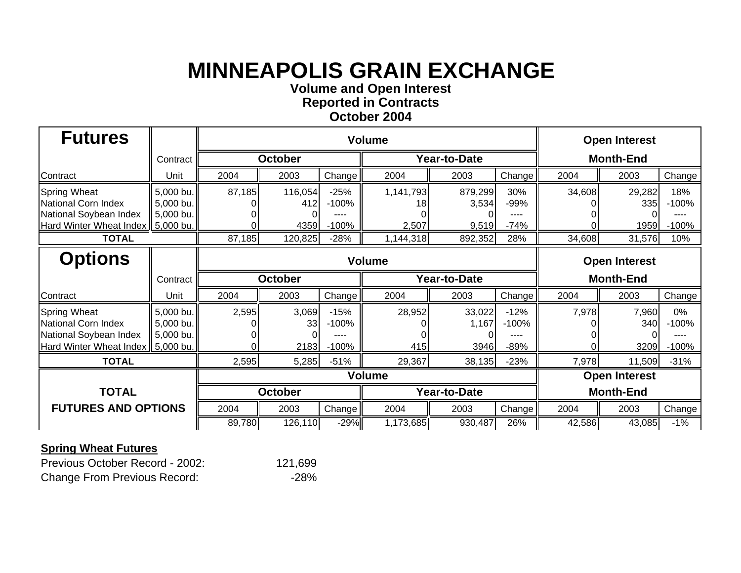**Volume and O pen Interest**

**Re ported in Contract s**

#### **October 2004**

| <b>Futures</b>                                                                                              |                                     |                | <b>Open Interest</b>   |                              |                          |                           |                               |                      |                       |                           |
|-------------------------------------------------------------------------------------------------------------|-------------------------------------|----------------|------------------------|------------------------------|--------------------------|---------------------------|-------------------------------|----------------------|-----------------------|---------------------------|
|                                                                                                             | Contract                            | <b>October</b> |                        |                              |                          | Year-to-Date              | <b>Month-End</b>              |                      |                       |                           |
| Contract                                                                                                    | Unit                                | 2004           | 2003                   | Change                       | 2004                     | 2003                      | Change                        | 2004                 | 2003                  | Change                    |
| <b>Spring Wheat</b><br>National Corn Index<br>National Soybean Index<br>Hard Winter Wheat Index   5,000 bu. | 5,000 bu.<br>5,000 bu.<br>5,000 bu. | 87,185         | 116,054<br>412<br>4359 | $-25%$<br>$-100%$<br>$-100%$ | 1,141,793<br>18<br>2,507 | 879,299<br>3,534<br>9,519 | 30%<br>-99%<br>----<br>$-74%$ | 34,608               | 29,282<br>335<br>1959 | 18%<br>$-100%$<br>$-100%$ |
| <b>TOTAL</b>                                                                                                |                                     | 87,185         | 120,825                | $-28%$                       | 1,144,318                | 892,352                   | 28%                           | 34,608               | 31,576                | 10%                       |
| <b>Options</b>                                                                                              |                                     | <b>Volume</b>  |                        |                              |                          |                           |                               | <b>Open Interest</b> |                       |                           |
|                                                                                                             | Contract                            | <b>October</b> |                        |                              | Year-to-Date             |                           |                               | <b>Month-End</b>     |                       |                           |
| Contract                                                                                                    | Unit                                | 2004           | 2003                   | Change                       | 2004                     | 2003                      | Change                        | 2004                 | 2003                  | Change                    |
| <b>Spring Wheat</b><br>National Corn Index<br>National Soybean Index<br>Hard Winter Wheat Index   5,000 bu. | 5,000 bu.<br>5,000 bu.<br>5,000 bu. | 2,595          | 3,069<br>33<br>2183    | $-15%$<br>$-100%$<br>$-100%$ | 28,952<br>415            | 33,022<br>1,167<br>3946   | $-12%$<br>$-100%$<br>$-89%$   | 7,978                | 7,960<br>340<br>3209  | 0%<br>$-100%$<br>$-100%$  |
| <b>TOTAL</b>                                                                                                |                                     | 2,595          | 5,285                  | $-51%$                       | 29,367                   | 38,135                    | $-23%$                        | 7,978                | 11,509                | $-31%$                    |
|                                                                                                             |                                     | <b>Volume</b>  |                        |                              |                          |                           |                               | <b>Open Interest</b> |                       |                           |
| <b>TOTAL</b>                                                                                                |                                     | <b>October</b> |                        |                              | Year-to-Date             |                           |                               | <b>Month-End</b>     |                       |                           |
| <b>FUTURES AND OPTIONS</b>                                                                                  |                                     | 2004           | 2003                   | Change                       | 2004                     | 2003                      | Change                        | 2004                 | 2003                  | Change                    |
|                                                                                                             |                                     | 89,780         | 126,110                | $-29%$                       | 1,173,685                | 930,487                   | 26%                           | 42,586               | 43,085                | $-1%$                     |

### **Spring Wheat Futures**

Previous October Record - 2002: 121,699 Change From Previous Record: 428%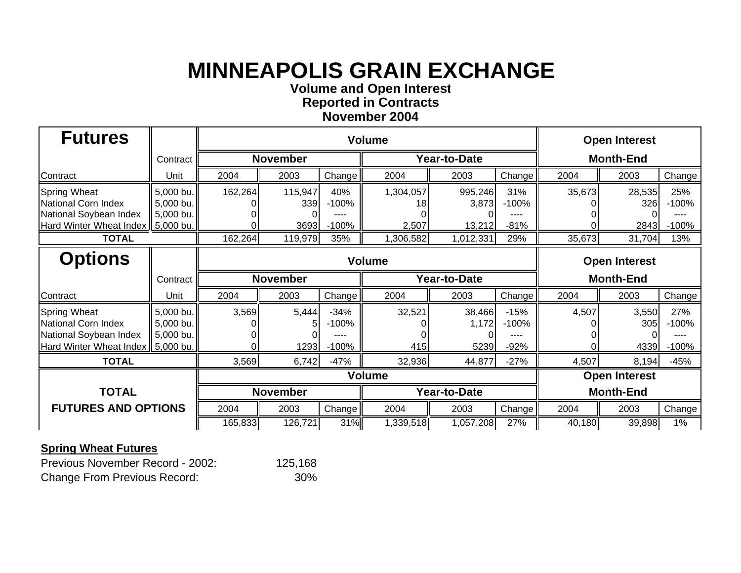**Volume and O pen Interest**

**Re ported in Contract s November 200 4**

| <b>Futures</b>                                                                                              |                                     |                 |                        | <b>Open Interest</b>         |                          |                            |                             |                      |                       |                           |
|-------------------------------------------------------------------------------------------------------------|-------------------------------------|-----------------|------------------------|------------------------------|--------------------------|----------------------------|-----------------------------|----------------------|-----------------------|---------------------------|
|                                                                                                             | Contract                            | <b>November</b> |                        |                              |                          | Year-to-Date               | <b>Month-End</b>            |                      |                       |                           |
| Contract                                                                                                    | Unit                                | 2004            | 2003                   | Change                       | 2004                     | 2003                       | Change                      | 2004                 | 2003                  | Change                    |
| <b>Spring Wheat</b><br>National Corn Index<br>National Soybean Index<br>Hard Winter Wheat Index   5,000 bu. | 5,000 bu.<br>5,000 bu.<br>5,000 bu. | 162,264<br>ΩI   | 115,947<br>339<br>3693 | 40%<br>$-100%$<br>$-100%$    | 1,304,057<br>18<br>2,507 | 995,246<br>3,873<br>13,212 | 31%<br>$-100%$<br>$-81%$    | 35,673               | 28,535<br>326<br>2843 | 25%<br>$-100%$<br>$-100%$ |
| <b>TOTAL</b>                                                                                                |                                     | 162,264         | 119,979                | 35%                          | 1,306,582                | 1,012,331                  | 29%                         | 35,673               | 31,704                | 13%                       |
| <b>Options</b>                                                                                              |                                     | <b>Volume</b>   |                        |                              |                          |                            |                             | <b>Open Interest</b> |                       |                           |
|                                                                                                             | Contract                            | <b>November</b> |                        |                              | Year-to-Date             |                            |                             | <b>Month-End</b>     |                       |                           |
| Contract                                                                                                    | Unit                                | 2004            | 2003                   | Change                       | 2004                     | 2003                       | Change                      | 2004                 | 2003                  | Change                    |
| <b>Spring Wheat</b><br>National Corn Index<br>National Soybean Index<br>Hard Winter Wheat Index   5,000 bu. | 5,000 bu.<br>5,000 bu.<br>5,000 bu. | 3,569<br>ΟI     | 5,444<br>1293          | $-34%$<br>$-100%$<br>$-100%$ | 32,521<br>415            | 38,466<br>1,172<br>5239    | $-15%$<br>$-100%$<br>$-92%$ | 4,507                | 3,550<br>305<br>4339  | 27%<br>$-100%$<br>$-100%$ |
| <b>TOTAL</b>                                                                                                |                                     | 3,569           | 6,742                  | $-47%$                       | 32,936                   | 44,877                     | $-27%$                      | 4,507                | 8,194                 | $-45%$                    |
|                                                                                                             |                                     |                 | <b>Volume</b>          |                              | <b>Open Interest</b>     |                            |                             |                      |                       |                           |
| <b>TOTAL</b>                                                                                                |                                     | <b>November</b> |                        |                              | Year-to-Date             |                            |                             | <b>Month-End</b>     |                       |                           |
| <b>FUTURES AND OPTIONS</b>                                                                                  |                                     | 2004            | 2003                   | Change                       | 2004                     | 2003                       | Change                      | 2004                 | 2003                  | Change                    |
|                                                                                                             |                                     | 165,833         | 126,721                | 31%                          | 1,339,518                | 1,057,208                  | 27%                         | 40,180               | 39,898                | $1\%$                     |

| Previous November Record - 2002:    | 125,168 |
|-------------------------------------|---------|
| <b>Change From Previous Record:</b> | 30%     |